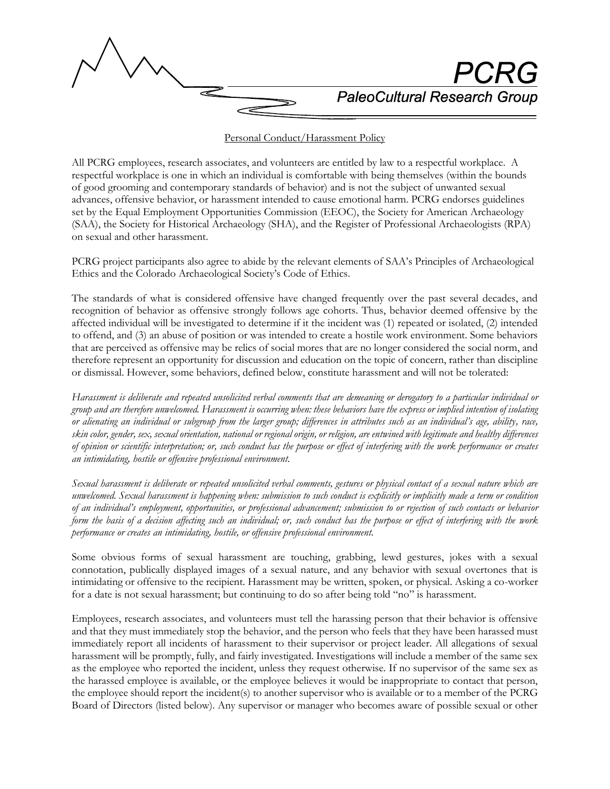

## Personal Conduct/Harassment Policy

All PCRG employees, research associates, and volunteers are entitled by law to a respectful workplace. A respectful workplace is one in which an individual is comfortable with being themselves (within the bounds of good grooming and contemporary standards of behavior) and is not the subject of unwanted sexual advances, offensive behavior, or harassment intended to cause emotional harm. PCRG endorses guidelines set by the Equal Employment Opportunities Commission (EEOC), the Society for American Archaeology (SAA), the Society for Historical Archaeology (SHA), and the Register of Professional Archaeologists (RPA) on sexual and other harassment.

PCRG project participants also agree to abide by the relevant elements of SAA's Principles of Archaeological Ethics and the Colorado Archaeological Society's Code of Ethics.

The standards of what is considered offensive have changed frequently over the past several decades, and recognition of behavior as offensive strongly follows age cohorts. Thus, behavior deemed offensive by the affected individual will be investigated to determine if it the incident was (1) repeated or isolated, (2) intended to offend, and (3) an abuse of position or was intended to create a hostile work environment. Some behaviors that are perceived as offensive may be relics of social mores that are no longer considered the social norm, and therefore represent an opportunity for discussion and education on the topic of concern, rather than discipline or dismissal. However, some behaviors, defined below, constitute harassment and will not be tolerated:

*Harassment is deliberate and repeated unsolicited verbal comments that are demeaning or derogatory to a particular individual or group and are therefore unwelcomed. Harassment is occurring when: these behaviors have the express or implied intention of isolating or alienating an individual or subgroup from the larger group; differences in attributes such as an individual's age, ability, race, skin color, gender, sex, sexual orientation, national or regional origin, or religion, are entwined with legitimate and healthy differences of opinion or scientific interpretation; or, such conduct has the purpose or effect of interfering with the work performance or creates an intimidating, hostile or offensive professional environment.*

*Sexual harassment is deliberate or repeated unsolicited verbal comments, gestures or physical contact of a sexual nature which are unwelcomed. Sexual harassment is happening when: submission to such conduct is explicitly or implicitly made a term or condition of an individual's employment, opportunities, or professional advancement; submission to or rejection of such contacts or behavior form the basis of a decision affecting such an individual; or, such conduct has the purpose or effect of interfering with the work performance or creates an intimidating, hostile, or offensive professional environment.*

Some obvious forms of sexual harassment are touching, grabbing, lewd gestures, jokes with a sexual connotation, publically displayed images of a sexual nature, and any behavior with sexual overtones that is intimidating or offensive to the recipient. Harassment may be written, spoken, or physical. Asking a co-worker for a date is not sexual harassment; but continuing to do so after being told "no" is harassment.

Employees, research associates, and volunteers must tell the harassing person that their behavior is offensive and that they must immediately stop the behavior, and the person who feels that they have been harassed must immediately report all incidents of harassment to their supervisor or project leader. All allegations of sexual harassment will be promptly, fully, and fairly investigated. Investigations will include a member of the same sex as the employee who reported the incident, unless they request otherwise. If no supervisor of the same sex as the harassed employee is available, or the employee believes it would be inappropriate to contact that person, the employee should report the incident(s) to another supervisor who is available or to a member of the PCRG Board of Directors (listed below). Any supervisor or manager who becomes aware of possible sexual or other